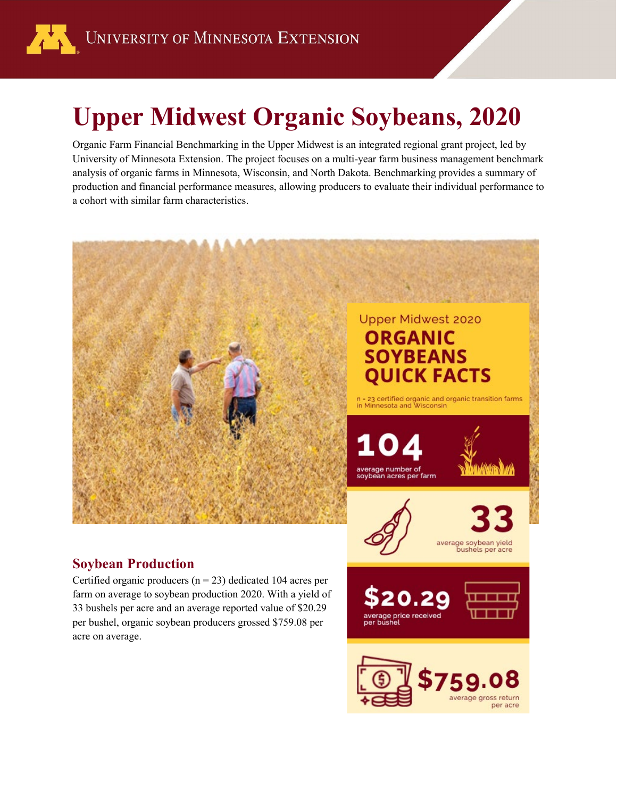

# **Upper Midwest Organic Soybeans, 2020**

Organic Farm Financial Benchmarking in the Upper Midwest is an integrated regional grant project, led by University of Minnesota Extension. The project focuses on a multi-year farm business management benchmark analysis of organic farms in Minnesota, Wisconsin, and North Dakota. Benchmarking provides a summary of production and financial performance measures, allowing producers to evaluate their individual performance to a cohort with similar farm characteristics.



33 bushels per acre and an average reported value of \$20.29 per bushel, organic soybean producers grossed \$759.08 per acre on average.



price received